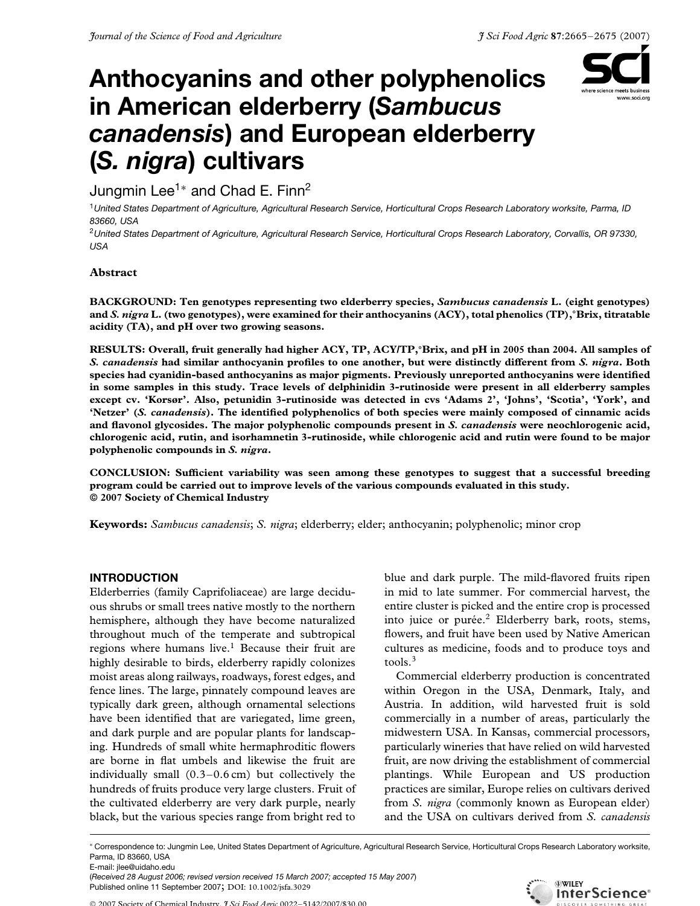

# **Anthocyanins and other polyphenolics in American elderberry (***Sambucus canadensis***) and European elderberry (***S. nigra***) cultivars**

Jungmin Lee<sup>1</sup><sup>∗</sup> and Chad E. Finn<sup>2</sup>

<sup>1</sup>United States Department of Agriculture, Agricultural Research Service, Horticultural Crops Research Laboratory worksite, Parma, ID *83660, USA*

<sup>2</sup>United States Department of Agriculture, Agricultural Research Service, Horticultural Crops Research Laboratory, Corvallis, OR 97330, *USA*

## **Abstract**

**BACKGROUND: Ten genotypes representing two elderberry species,** *Sambucus canadensis* **L. (eight genotypes)** and S. nigra L. (two genotypes), were examined for their anthocyanins (ACY), total phenolics (TP),°Brix, titratable **acidity (TA), and pH over two growing seasons.**

RESULTS: Overall, fruit generally had higher ACY, TP, ACY/TP,°Brix, and pH in 2005 than 2004. All samples of S. canadensis had similar anthocyanin profiles to one another, but were distinctly different from S. nigra. Both **species had cyanidin-based anthocyanins as major pigments. Previously unreported anthocyanins were identified** in some samples in this study. Trace levels of delphinidin 3-rutinoside were present in all elderberry samples **except cv. 'Korsør'. Also, petunidin 3-rutinoside was detected in cvs 'Adams 2', 'Johns', 'Scotia', 'York', and** 'Netzer' (S. canadensis). The identified polyphenolics of both species were mainly composed of cinnamic acids **and flavonol glycosides. The major polyphenolic compounds present in** *S. canadensis* **were neochlorogenic acid, chlorogenic acid, rutin, and isorhamnetin 3-rutinoside, while chlorogenic acid and rutin were found to be major polyphenolic compounds in** *S. nigra***.**

**CONCLUSION: Sufficient variability was seen among these genotypes to suggest that a successful breeding program could be carried out to improve levels of the various compounds evaluated in this study. 2007 Society of Chemical Industry**

**Keywords:** *Sambucus canadensis*; *S. nigra*; elderberry; elder; anthocyanin; polyphenolic; minor crop

## **INTRODUCTION**

Elderberries (family Caprifoliaceae) are large deciduous shrubs or small trees native mostly to the northern hemisphere, although they have become naturalized throughout much of the temperate and subtropical regions where humans live.<sup>1</sup> Because their fruit are highly desirable to birds, elderberry rapidly colonizes moist areas along railways, roadways, forest edges, and fence lines. The large, pinnately compound leaves are typically dark green, although ornamental selections have been identified that are variegated, lime green, and dark purple and are popular plants for landscaping. Hundreds of small white hermaphroditic flowers are borne in flat umbels and likewise the fruit are individually small (0.3–0.6 cm) but collectively the hundreds of fruits produce very large clusters. Fruit of the cultivated elderberry are very dark purple, nearly black, but the various species range from bright red to blue and dark purple. The mild-flavored fruits ripen in mid to late summer. For commercial harvest, the entire cluster is picked and the entire crop is processed into juice or purée.<sup>2</sup> Elderberry bark, roots, stems, flowers, and fruit have been used by Native American cultures as medicine, foods and to produce toys and tools.3

Commercial elderberry production is concentrated within Oregon in the USA, Denmark, Italy, and Austria. In addition, wild harvested fruit is sold commercially in a number of areas, particularly the midwestern USA. In Kansas, commercial processors, particularly wineries that have relied on wild harvested fruit, are now driving the establishment of commercial plantings. While European and US production practices are similar, Europe relies on cultivars derived from *S. nigra* (commonly known as European elder) and the USA on cultivars derived from *S. canadensis*

E-mail: jlee@uidaho.edu

(*Received 28 August 2006; revised version received 15 March 2007; accepted 15 May 2007*) Published online 11 September 2007; DOI: 10.1002/jsfa.3029



<sup>∗</sup> Correspondence to: Jungmin Lee, United States Department of Agriculture, Agricultural Research Service, Horticultural Crops Research Laboratory worksite, Parma, ID 83660, USA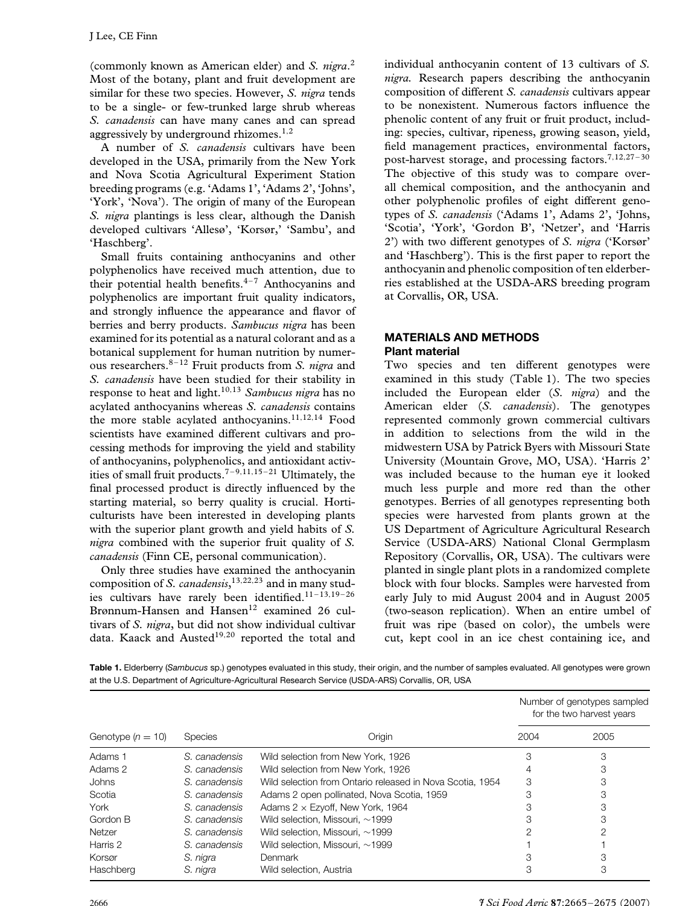(commonly known as American elder) and *S. nigra*. 2 Most of the botany, plant and fruit development are similar for these two species. However, *S. nigra* tends to be a single- or few-trunked large shrub whereas *S. canadensis* can have many canes and can spread aggressively by underground rhizomes.<sup>1,2</sup>

A number of *S. canadensis* cultivars have been developed in the USA, primarily from the New York and Nova Scotia Agricultural Experiment Station breeding programs(e.g. 'Adams 1', 'Adams 2', 'Johns', 'York', 'Nova'). The origin of many of the European *S. nigra* plantings is less clear, although the Danish developed cultivars 'Allesø', 'Korsør,' 'Sambu', and 'Haschberg'.

Small fruits containing anthocyanins and other polyphenolics have received much attention, due to their potential health benefits. $4-7$  Anthocyanins and polyphenolics are important fruit quality indicators, and strongly influence the appearance and flavor of berries and berry products. *Sambucus nigra* has been examined for its potential as a natural colorant and as a botanical supplement for human nutrition by numerous researchers.8–12 Fruit products from *S. nigra* and *S. canadensis* have been studied for their stability in response to heat and light.10,<sup>13</sup> *Sambucus nigra* has no acylated anthocyanins whereas *S. canadensis* contains the more stable acylated anthocyanins.<sup>11,12,14</sup> Food scientists have examined different cultivars and processing methods for improving the yield and stability of anthocyanins, polyphenolics, and antioxidant activities of small fruit products.7–9,11,15–21 Ultimately, the final processed product is directly influenced by the starting material, so berry quality is crucial. Horticulturists have been interested in developing plants with the superior plant growth and yield habits of *S. nigra* combined with the superior fruit quality of *S. canadensis* (Finn CE, personal communication).

Only three studies have examined the anthocyanin composition of *S. canadensis*, <sup>13</sup>,22,<sup>23</sup> and in many studies cultivars have rarely been identified.11–13,19–26 Brønnum-Hansen and Hansen<sup>12</sup> examined 26 cultivars of *S. nigra*, but did not show individual cultivar data. Kaack and Austed<sup>19,20</sup> reported the total and individual anthocyanin content of 13 cultivars of *S. nigra.* Research papers describing the anthocyanin composition of different *S. canadensis* cultivars appear to be nonexistent. Numerous factors influence the phenolic content of any fruit or fruit product, including: species, cultivar, ripeness, growing season, yield, field management practices, environmental factors, post-harvest storage, and processing factors. 7,12,27–30 The objective of this study was to compare overall chemical composition, and the anthocyanin and other polyphenolic profiles of eight different genotypes of *S. canadensis* ('Adams 1', Adams 2', 'Johns, 'Scotia', 'York', 'Gordon B', 'Netzer', and 'Harris 2') with two different genotypes of *S. nigra* ('Korsør' and 'Haschberg'). This is the first paper to report the anthocyanin and phenolic composition of ten elderberries established at the USDA-ARS breeding program at Corvallis, OR, USA.

## **MATERIALS AND METHODS Plant material**

Two species and ten different genotypes were examined in this study (Table 1). The two species included the European elder (*S. nigra*) and the American elder (*S. canadensis*). The genotypes represented commonly grown commercial cultivars in addition to selections from the wild in the midwestern USA by Patrick Byers with Missouri State University (Mountain Grove, MO, USA). 'Harris 2' was included because to the human eye it looked much less purple and more red than the other genotypes. Berries of all genotypes representing both species were harvested from plants grown at the US Department of Agriculture Agricultural Research Service (USDA-ARS) National Clonal Germplasm Repository (Corvallis, OR, USA). The cultivars were planted in single plant plots in a randomized complete block with four blocks. Samples were harvested from early July to mid August 2004 and in August 2005 (two-season replication). When an entire umbel of fruit was ripe (based on color), the umbels were cut, kept cool in an ice chest containing ice, and

**Table 1.** Elderberry (*Sambucus* sp.) genotypes evaluated in this study, their origin, and the number of samples evaluated. All genotypes were grown at the U.S. Department of Agriculture-Agricultural Research Service (USDA-ARS) Corvallis, OR, USA

|                     |                |                                                           |      | Number of genotypes sampled<br>for the two harvest years |
|---------------------|----------------|-----------------------------------------------------------|------|----------------------------------------------------------|
| Genotype $(n = 10)$ | <b>Species</b> | Origin                                                    | 2004 | 2005                                                     |
| Adams 1             | S. canadensis  | Wild selection from New York, 1926                        | 3    | З                                                        |
| Adams 2             | S. canadensis  | Wild selection from New York, 1926                        | 4    | З                                                        |
| <b>Johns</b>        | S. canadensis  | Wild selection from Ontario released in Nova Scotia, 1954 | 3    | З                                                        |
| Scotia              | S. canadensis  | Adams 2 open pollinated, Nova Scotia, 1959                | 3    | З                                                        |
| York                | S. canadensis  | Adams $2 \times$ Ezyoff, New York, 1964                   | 3    | З                                                        |
| Gordon B            | S. canadensis  | Wild selection, Missouri, $\sim$ 1999                     | 3    | 3                                                        |
| Netzer              | S. canadensis  | Wild selection, Missouri, $\sim$ 1999                     | 2    | 2                                                        |
| Harris 2            | S. canadensis  | Wild selection, Missouri, $\sim$ 1999                     |      |                                                          |
| Korsør              | S. nigra       | Denmark                                                   | 3    | З                                                        |
| Haschberg           | S. nigra       | Wild selection, Austria                                   | 3    | 3                                                        |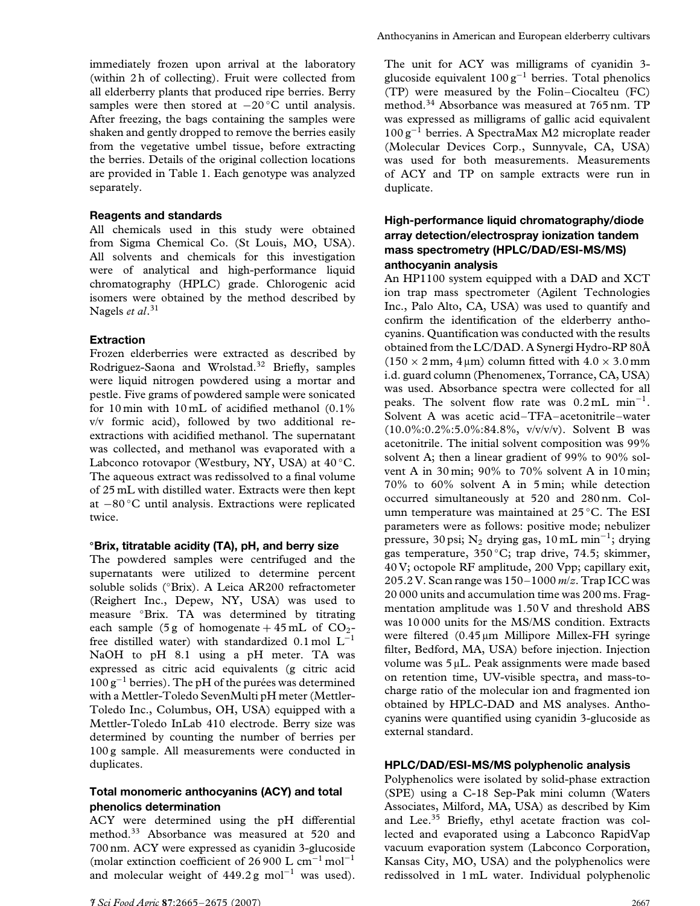immediately frozen upon arrival at the laboratory (within 2 h of collecting). Fruit were collected from all elderberry plants that produced ripe berries. Berry samples were then stored at  $-20$  °C until analysis. After freezing, the bags containing the samples were shaken and gently dropped to remove the berries easily from the vegetative umbel tissue, before extracting the berries. Details of the original collection locations are provided in Table 1. Each genotype was analyzed separately.

## **Reagents and standards**

All chemicals used in this study were obtained from Sigma Chemical Co. (St Louis, MO, USA). All solvents and chemicals for this investigation were of analytical and high-performance liquid chromatography (HPLC) grade. Chlorogenic acid isomers were obtained by the method described by Nagels *et al*. 31

## **Extraction**

Frozen elderberries were extracted as described by Rodriguez-Saona and Wrolstad.<sup>32</sup> Briefly, samples were liquid nitrogen powdered using a mortar and pestle. Five grams of powdered sample were sonicated for 10 min with 10 mL of acidified methanol (0.1% v/v formic acid), followed by two additional reextractions with acidified methanol. The supernatant was collected, and methanol was evaporated with a Labconco rotovapor (Westbury, NY, USA) at 40 ◦C. The aqueous extract was redissolved to a final volume of 25 mL with distilled water. Extracts were then kept at −80 ◦C until analysis. Extractions were replicated twice.

#### ◦**Brix, titratable acidity (TA), pH, and berry size**

The powdered samples were centrifuged and the supernatants were utilized to determine percent soluble solids (◦Brix). A Leica AR200 refractometer (Reighert Inc., Depew, NY, USA) was used to measure °Brix. TA was determined by titrating each sample (5 g of homogenate  $+45$  mL of CO<sub>2</sub>free distilled water) with standardized 0.1 mol  $L^{-1}$ NaOH to pH 8.1 using a pH meter. TA was expressed as citric acid equivalents (g citric acid  $100 g^{-1}$  berries). The pH of the pures was determined with a Mettler-Toledo SevenMulti pH meter (Mettler-Toledo Inc., Columbus, OH, USA) equipped with a Mettler-Toledo InLab 410 electrode. Berry size was determined by counting the number of berries per 100 g sample. All measurements were conducted in duplicates.

## **Total monomeric anthocyanins (ACY) and total phenolics determination**

ACY were determined using the pH differential method.<sup>33</sup> Absorbance was measured at 520 and 700 nm. ACY were expressed as cyanidin 3-glucoside (molar extinction coefficient of 26 900 L cm−<sup>1</sup> mol −1 and molecular weight of  $449.2\,\text{g}$  mol $^{-1}$  was used).

The unit for ACY was milligrams of cyanidin 3 glucoside equivalent  $100 g^{-1}$  berries. Total phenolics (TP) were measured by the Folin–Ciocalteu (FC) method.<sup>34</sup> Absorbance was measured at 765 nm. TP was expressed as milligrams of gallic acid equivalent 100 g−<sup>1</sup> berries. A SpectraMax M2 microplate reader (Molecular Devices Corp., Sunnyvale, CA, USA) was used for both measurements. Measurements of ACY and TP on sample extracts were run in duplicate.

## **High-performance liquid chromatography/diode array detection/electrospray ionization tandem mass spectrometry (HPLC/DAD/ESI-MS/MS) anthocyanin analysis**

An HP1100 system equipped with a DAD and XCT ion trap mass spectrometer (Agilent Technologies Inc., Palo Alto, CA, USA) was used to quantify and confirm the identification of the elderberry anthocyanins. Quantification was conducted with the results obtained from the LC/DAD. A Synergi Hydro-RP 80A˚  $(150 \times 2 \text{ mm}, 4 \text{ m})$  column fitted with  $4.0 \times 3.0 \text{ mm}$ i.d. guard column (Phenomenex, Torrance, CA, USA) was used. Absorbance spectra were collected for all peaks. The solvent flow rate was  $0.2 \text{ mL min}^{-1}$ . Solvent A was acetic acid–TFA–acetonitrile–water (10.0%:0.2%:5.0%:84.8%, v/v/v/v). Solvent B was acetonitrile. The initial solvent composition was 99% solvent A; then a linear gradient of 99% to 90% solvent A in 30 min; 90% to 70% solvent A in 10 min; 70% to 60% solvent A in 5 min; while detection occurred simultaneously at 520 and 280 nm. Column temperature was maintained at 25 °C. The ESI parameters were as follows: positive mode; nebulizer pressure, 30 psi; N<sub>2</sub> drying gas, 10 mL min<sup>-1</sup>; drying gas temperature, 350 °C; trap drive, 74.5; skimmer, 40 V; octopole RF amplitude, 200 Vpp; capillary exit, 205.2 V. Scan range was 150–1000 *m*/*z*. Trap ICC was 20 000 units and accumulation time was 200 ms. Fragmentation amplitude was 1.50 V and threshold ABS was 10 000 units for the MS/MS condition. Extracts were filtered (0.45 m Millipore Millex-FH syringe filter, Bedford, MA, USA) before injection. Injection volume was 5 L. Peak assignments were made based on retention time, UV-visible spectra, and mass-tocharge ratio of the molecular ion and fragmented ion obtained by HPLC-DAD and MS analyses. Anthocyanins were quantified using cyanidin 3-glucoside as external standard.

#### **HPLC/DAD/ESI-MS/MS polyphenolic analysis**

Polyphenolics were isolated by solid-phase extraction (SPE) using a C-18 Sep-Pak mini column (Waters Associates, Milford, MA, USA) as described by Kim and Lee.<sup>35</sup> Briefly, ethyl acetate fraction was collected and evaporated using a Labconco RapidVap vacuum evaporation system (Labconco Corporation, Kansas City, MO, USA) and the polyphenolics were redissolved in 1 mL water. Individual polyphenolic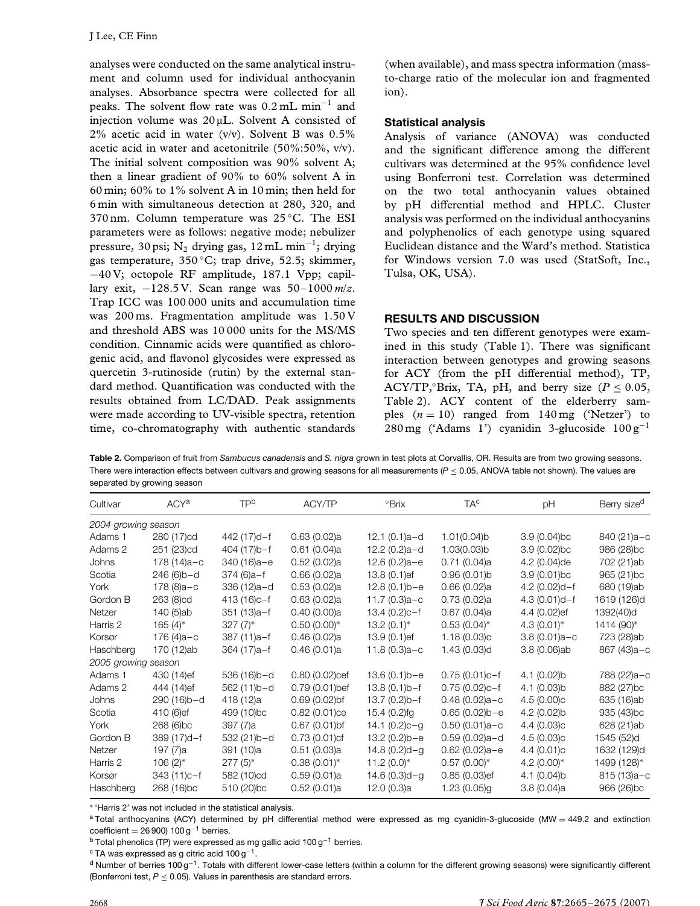analyses were conducted on the same analytical instrument and column used for individual anthocyanin analyses. Absorbance spectra were collected for all peaks. The solvent flow rate was 0.2 mL min−<sup>1</sup> and injection volume was 20 L. Solvent A consisted of  $2\%$  acetic acid in water (v/v). Solvent B was  $0.5\%$ acetic acid in water and acetonitrile (50%:50%, v/v). The initial solvent composition was 90% solvent A; then a linear gradient of 90% to 60% solvent A in 60 min; 60% to 1% solvent A in 10 min; then held for 6 min with simultaneous detection at 280, 320, and 370 nm. Column temperature was 25 ◦C. The ESI parameters were as follows: negative mode; nebulizer pressure, 30 psi; N<sub>2</sub> drying gas, 12 mL min<sup>-1</sup>; drying gas temperature, 350 °C; trap drive, 52.5; skimmer, −40 V; octopole RF amplitude, 187.1 Vpp; capillary exit, −128.5 V. Scan range was 50–1000*m*/*z*. Trap ICC was 100 000 units and accumulation time was 200 ms. Fragmentation amplitude was 1.50 V and threshold ABS was 10 000 units for the MS/MS condition. Cinnamic acids were quantified as chlorogenic acid, and flavonol glycosides were expressed as quercetin 3-rutinoside (rutin) by the external standard method. Quantification was conducted with the results obtained from LC/DAD. Peak assignments were made according to UV-visible spectra, retention time, co-chromatography with authentic standards

(when available), and mass spectra information (massto-charge ratio of the molecular ion and fragmented ion).

#### **Statistical analysis**

Analysis of variance (ANOVA) was conducted and the significant difference among the different cultivars was determined at the 95% confidence level using Bonferroni test. Correlation was determined on the two total anthocyanin values obtained by pH differential method and HPLC. Cluster analysis was performed on the individual anthocyanins and polyphenolics of each genotype using squared Euclidean distance and the Ward's method. Statistica for Windows version 7.0 was used (StatSoft, Inc., Tulsa, OK, USA).

#### **RESULTS AND DISCUSSION**

Two species and ten different genotypes were examined in this study (Table 1). There was significant interaction between genotypes and growing seasons for ACY (from the pH differential method), TP, ACY/TP, Brix, TA, pH, and berry size ( $P \le 0.05$ , Table 2). ACY content of the elderberry samples  $(n = 10)$  ranged from  $140 \text{ mg}$  ('Netzer') to  $280 \,\text{mg}$  ('Adams 1') cyanidin 3-glucoside  $100 \,\text{g}^{-1}$ 

**Table 2.** Comparison of fruit from *Sambucus canadensis* and *S. nigra* grown in test plots at Corvallis, OR. Results are from two growing seasons. There were interaction effects between cultivars and growing seasons for all measurements (*P* ≤ 0.05, ANOVA table not shown). The values are separated by growing season

| Cultivar            | ACY <sup>a</sup> | TPb         | ACY/TP           | °Brix            | <b>TA<sup>c</sup></b> | рH                        | Berry size <sup>d</sup> |
|---------------------|------------------|-------------|------------------|------------------|-----------------------|---------------------------|-------------------------|
| 2004 growing season |                  |             |                  |                  |                       |                           |                         |
| Adams 1             | 280 (17)cd       | 442 (17)d-f | 0.63(0.02)a      | $12.1(0.1)a-d$   | 1.01(0.04)b           | $3.9(0.04)$ bc            | 840 (21)a-c             |
| Adams 2             | 251 (23)cd       | 404 (17)b-f | 0.61(0.04)a      | 12.2 $(0.2)a-d$  | 1.03(0.03)b           | $3.9(0.02)$ <sub>bc</sub> | 986 (28) bc             |
| Johns               | $178(14)a-c$     | 340 (16)а-е | 0.52(0.02)a      | $12.6(0.2)a - e$ | 0.71(0.04)a           | 4.2 (0.04)de              | 702 (21)ab              |
| Scotia              | 246 (6)b-d       | 374 (6)a-f  | 0.66(0.02)a      | 13.8 (0.1) ef    | 0.96(0.01)b           | 3.9 (0.01)bc              | 965 (21) bc             |
| York                | $178(8)a-c$      | 336 (12)a-d | 0.53(0.02)a      | $12.8(0.1)b - e$ | 0.66(0.02)a           | 4.2 $(0.02)$ d-f          | 680 (19)ab              |
| Gordon B            | 263 (8)cd        | 413 (16)c-f | 0.63(0.02)a      | 11.7 $(0.3)a-c$  | 0.73(0.02)a           | $4.3(0.01)d-f$            | 1619 (126)d             |
| Netzer              | 140 (5)ab        | 351 (13)a-f | 0.40(0.00)a      | $13.4(0.2)c-f$   | 0.67(0.04)a           | 4.4 (0.02)ef              | 1392(40)d               |
| Harris 2            | $165(4)^{*}$     | $327 (7)^*$ | $0.50(0.00)*$    | $13.2 (0.1)^*$   | $0.53(0.04)^{*}$      | 4.3 $(0.01)^*$            | 1414 (90)*              |
| Korsør              | 176 (4)а-с       | 387 (11)a-f | 0.46(0.02)a      | 13.9 (0.1)ef     | 1.18(0.03)c           | $3.8(0.01)a-c$            | 723 (28)ab              |
| Haschberg           | 170 (12)ab       | 364 (17)a-f | 0.46(0.01)a      | $11.8(0.3)a-c$   | 1.43(0.03)d           | $3.8(0.06)$ ab            | 867 (43)а-с             |
| 2005 growing season |                  |             |                  |                  |                       |                           |                         |
| Adams 1             | 430 (14)ef       | 536 (16)b-d | $0.80(0.02)$ cef | $13.6(0.1)b - e$ | $0.75(0.01)c - f$     | 4.1 (0.02) b              | 788 (22)a-c             |
| Adams 2             | 444 (14) ef      | 562 (11)b-d | 0.79 (0.01) bef  | $13.8(0.1)b-f$   | $0.75(0.02)c - f$     | 4.1 (0.03)b               | 882 (27) bc             |
| Johns               | 290 (16)b-d      | 418 (12)a   | $0.69(0.02)$ bf  | $13.7(0.2)b-f$   | $0.48(0.02)a-c$       | 4.5(0.00)c                | 635 (16)ab              |
| Scotia              | 410 (6) ef       | 499 (10)bc  | $0.82(0.01)$ ce  | 15.4 (0.2)fg     | $0.65(0.02)b - e$     | 4.2 (0.02)b               | 935 (43) bc             |
| York                | 268 (6)bc        | 397 (7)a    | $0.67(0.01)$ bf  | 14.1 $(0.2)c-g$  | $0.50(0.01)a-c$       | 4.4(0.03)c                | 628 (21)ab              |
| Gordon B            | 389 (17)d-f      | 532 (21)b-d | 0.73(0.01)cf     | 13.2 (0.2)b-e    | $0.59(0.02)a-d$       | 4.5(0.03)c                | 1545 (52)d              |
| Netzer              | 197 (7)a         | 391 (10)a   | 0.51(0.03)a      | 14.8 $(0.2)d-g$  | $0.62(0.02)a - e$     | 4.4(0.01)c                | 1632 (129)d             |
| Harris 2            | $106(2)^{*}$     | $277(5)^*$  | $0.38(0.01)^{*}$ | 11.2 $(0.0)^*$   | $0.57(0.00)*$         | 4.2 $(0.00)*$             | 1499 (128)*             |
| Korsør              | $343(11)c - f$   | 582 (10)cd  | 0.59(0.01)a      | $14.6(0.3)d-g$   | $0.85(0.03)$ ef       | 4.1 $(0.04)b$             | 815 (13)a-c             |
| Haschberg           | 268 (16)bc       | 510 (20)bc  | 0.52(0.01)a      | 12.0(0.3)a       | 1.23(0.05)g           | 3.8(0.04)a                | 966 (26) bc             |

∗ 'Harris 2' was not included in the statistical analysis.

<sup>a</sup> Total anthocyanins (ACY) determined by pH differential method were expressed as mg cyanidin-3-glucoside (MW = 449.2 and extinction coefficient = 26 900) 100 g<sup>-1</sup> berries.

<sup>b</sup> Total phenolics (TP) were expressed as mg gallic acid 100 g<sup>-1</sup> berries.

 $\rm ^c$  TA was expressed as g citric acid 100 g<sup>-1</sup>.

 $d$  Number of berries 100 g<sup>-1</sup>. Totals with different lower-case letters (within a column for the different growing seasons) were significantly different (Bonferroni test,  $P \le 0.05$ ). Values in parenthesis are standard errors.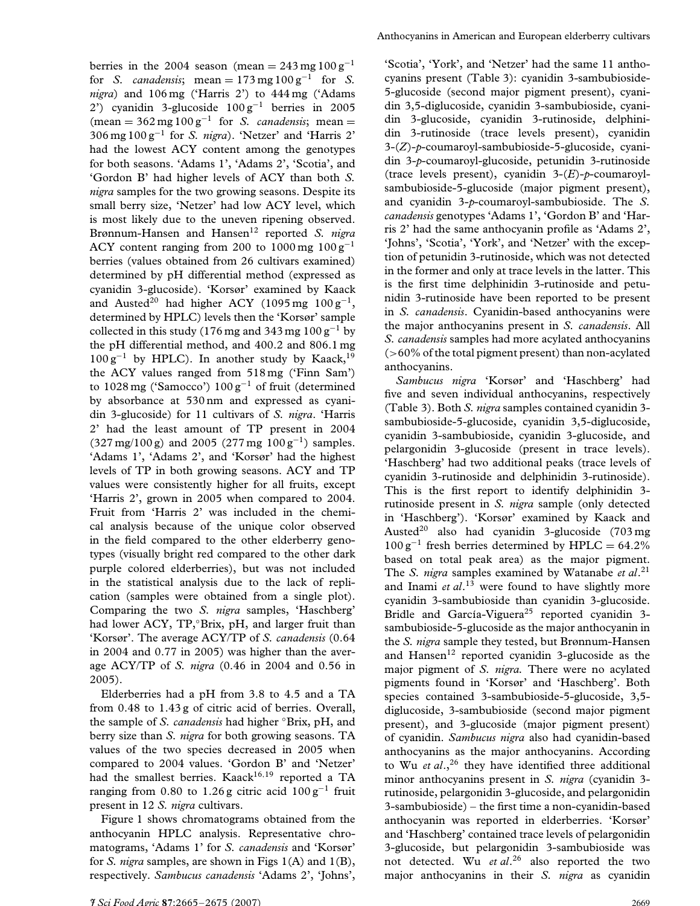berries in the 2004 season (mean =  $243 \text{ mg } 100 \text{ g}^{-1}$ for *S. canadensis*; mean =  $173 \text{ mg } 100 \text{ g}^{-1}$  for *S. nigra*) and 106 mg ('Harris 2') to 444 mg ('Adams 2') cyanidin 3-glucoside 100 g−<sup>1</sup> berries in 2005  $(\text{mean} = 362 \text{ mg } 100 \text{ g}^{-1} \text{ for } S$ . *canadensis*; mean = 306 mg 100 g−<sup>1</sup> for *S. nigra*). 'Netzer' and 'Harris 2' had the lowest ACY content among the genotypes for both seasons. 'Adams 1', 'Adams 2', 'Scotia', and 'Gordon B' had higher levels of ACY than both *S. nigra* samples for the two growing seasons. Despite its small berry size, 'Netzer' had low ACY level, which is most likely due to the uneven ripening observed. Brønnum-Hansen and Hansen<sup>12</sup> reported *S. nigra* ACY content ranging from 200 to 1000 mg  $100 g^{-1}$ berries (values obtained from 26 cultivars examined) determined by pH differential method (expressed as cyanidin 3-glucoside). 'Korsør' examined by Kaack and Austed<sup>20</sup> had higher ACY (1095 mg  $100 g^{-1}$ , determined by HPLC) levels then the 'Korsør' sample collected in this study (176 mg and 343 mg 100 g<sup>-1</sup> by the pH differential method, and 400.2 and 806.1 mg  $100 g^{-1}$  by HPLC). In another study by Kaack,<sup>19</sup> the ACY values ranged from 518 mg ('Finn Sam') to 1028 mg ('Samocco') 100  $g^{-1}$  of fruit (determined by absorbance at 530 nm and expressed as cyanidin 3-glucoside) for 11 cultivars of *S. nigra*. 'Harris 2' had the least amount of TP present in 2004  $(327 \,\text{mg}/100 \,\text{g})$  and 2005  $(277 \,\text{mg } 100 \,\text{g}^{-1})$  samples. 'Adams 1', 'Adams 2', and 'Korsør' had the highest levels of TP in both growing seasons. ACY and TP values were consistently higher for all fruits, except 'Harris 2', grown in 2005 when compared to 2004. Fruit from 'Harris 2' was included in the chemical analysis because of the unique color observed in the field compared to the other elderberry genotypes (visually bright red compared to the other dark purple colored elderberries), but was not included in the statistical analysis due to the lack of replication (samples were obtained from a single plot). Comparing the two *S. nigra* samples, 'Haschberg' had lower ACY, TP, Brix, pH, and larger fruit than 'Korsør'. The average ACY/TP of *S. canadensis* (0.64 in 2004 and 0.77 in 2005) was higher than the average ACY/TP of *S. nigra* (0.46 in 2004 and 0.56 in 2005).

Elderberries had a pH from 3.8 to 4.5 and a TA from 0.48 to 1.43 g of citric acid of berries. Overall, the sample of *S. canadensis* had higher ◦Brix, pH, and berry size than *S. nigra* for both growing seasons. TA values of the two species decreased in 2005 when compared to 2004 values. 'Gordon B' and 'Netzer' had the smallest berries. Kaack $16,19$  reported a TA ranging from 0.80 to 1.26 g citric acid  $100 g^{-1}$  fruit present in 12 *S. nigra* cultivars.

Figure 1 shows chromatograms obtained from the anthocyanin HPLC analysis. Representative chromatograms, 'Adams 1' for *S. canadensis* and 'Korsør' for *S. nigra* samples, are shown in Figs 1(A) and 1(B), respectively. *Sambucus canadensis* 'Adams 2', 'Johns',

'Scotia', 'York', and 'Netzer' had the same 11 anthocyanins present (Table 3): cyanidin 3-sambubioside-5-glucoside (second major pigment present), cyanidin 3,5-diglucoside, cyanidin 3-sambubioside, cyanidin 3-glucoside, cyanidin 3-rutinoside, delphinidin 3-rutinoside (trace levels present), cyanidin 3-(*Z*)-*p*-coumaroyl-sambubioside-5-glucoside, cyanidin 3-*p*-coumaroyl-glucoside, petunidin 3-rutinoside (trace levels present), cyanidin 3-(*E*)-*p*-coumaroylsambubioside-5-glucoside (major pigment present), and cyanidin 3-*p*-coumaroyl-sambubioside. The *S. canadensis* genotypes 'Adams 1', 'Gordon B' and 'Harris 2' had the same anthocyanin profile as 'Adams 2', 'Johns', 'Scotia', 'York', and 'Netzer' with the exception of petunidin 3-rutinoside, which was not detected in the former and only at trace levels in the latter. This is the first time delphinidin 3-rutinoside and petunidin 3-rutinoside have been reported to be present in *S. canadensis*. Cyanidin-based anthocyanins were the major anthocyanins present in *S. canadensis*. All *S. canadensis* samples had more acylated anthocyanins  $(>60\%$  of the total pigment present) than non-acylated anthocyanins.

*Sambucus nigra* 'Korsør' and 'Haschberg' had five and seven individual anthocyanins, respectively (Table 3). Both *S. nigra* samples contained cyanidin 3 sambubioside-5-glucoside, cyanidin 3,5-diglucoside, cyanidin 3-sambubioside, cyanidin 3-glucoside, and pelargonidin 3-glucoside (present in trace levels). 'Haschberg' had two additional peaks (trace levels of cyanidin 3-rutinoside and delphinidin 3-rutinoside). This is the first report to identify delphinidin 3 rutinoside present in *S. nigra* sample (only detected in 'Haschberg'). 'Korsør' examined by Kaack and Austed<sup>20</sup> also had cyanidin 3-glucoside (703 mg)  $100 \text{ g}^{-1}$  fresh berries determined by HPLC = 64.2% based on total peak area) as the major pigment. The *S. nigra* samples examined by Watanabe *et al*. 21 and Inami *et al*. <sup>13</sup> were found to have slightly more cyanidin 3-sambubioside than cyanidin 3-glucoside. Bridle and García-Viguera<sup>25</sup> reported cyanidin 3sambubioside-5-glucoside as the major anthocyanin in the *S. nigra* sample they tested, but Brønnum-Hansen and Hansen<sup>12</sup> reported cyanidin 3-glucoside as the major pigment of *S. nigra.* There were no acylated pigments found in 'Korsør' and 'Haschberg'. Both species contained 3-sambubioside-5-glucoside, 3,5 diglucoside, 3-sambubioside (second major pigment present), and 3-glucoside (major pigment present) of cyanidin. *Sambucus nigra* also had cyanidin-based anthocyanins as the major anthocyanins. According to Wu *et al*., <sup>26</sup> they have identified three additional minor anthocyanins present in *S. nigra* (cyanidin 3 rutinoside, pelargonidin 3-glucoside, and pelargonidin 3-sambubioside) – the first time a non-cyanidin-based anthocyanin was reported in elderberries. 'Korsør' and 'Haschberg' contained trace levels of pelargonidin 3-glucoside, but pelargonidin 3-sambubioside was not detected. Wu *et al*. <sup>26</sup> also reported the two major anthocyanins in their *S. nigra* as cyanidin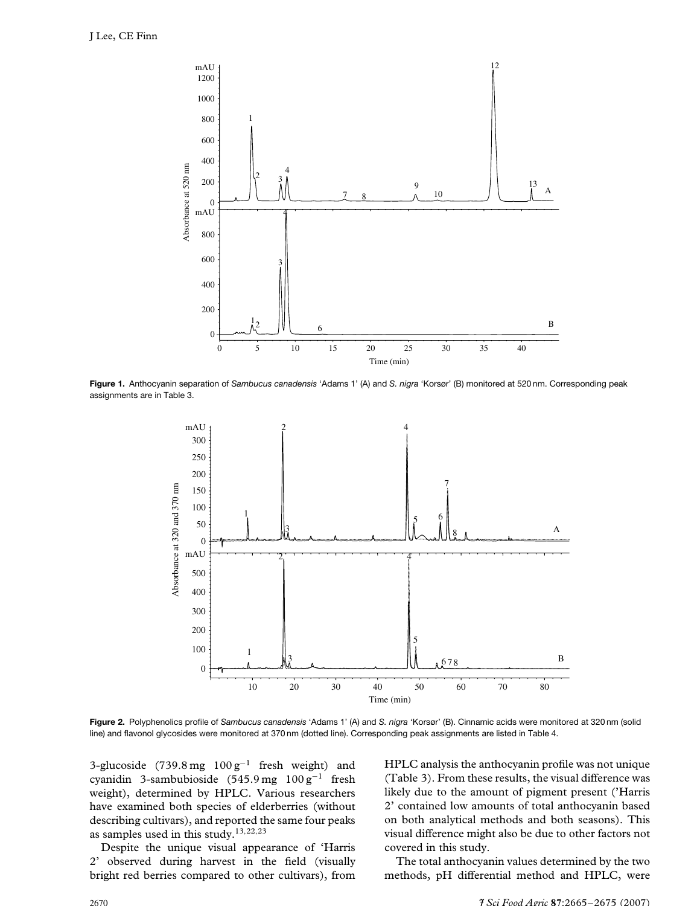

**Figure 1.** Anthocyanin separation of *Sambucus canadensis* 'Adams 1' (A) and *S. nigra* 'Korsør' (B) monitored at 520 nm. Corresponding peak assignments are in Table 3.



**Figure 2.** Polyphenolics profile of *Sambucus canadensis* 'Adams 1' (A) and *S. nigra* 'Korsør' (B). Cinnamic acids were monitored at 320 nm (solid line) and flavonol glycosides were monitored at 370 nm (dotted line). Corresponding peak assignments are listed in Table 4.

3-glucoside (739.8 mg  $100 g^{-1}$  fresh weight) and cyanidin 3-sambubioside (545.9 mg 100 g−<sup>1</sup> fresh weight), determined by HPLC. Various researchers have examined both species of elderberries (without describing cultivars), and reported the same four peaks as samples used in this study. 13,22,23

Despite the unique visual appearance of 'Harris 2' observed during harvest in the field (visually bright red berries compared to other cultivars), from HPLC analysis the anthocyanin profile was not unique (Table 3). From these results, the visual difference was likely due to the amount of pigment present ('Harris 2' contained low amounts of total anthocyanin based on both analytical methods and both seasons). This visual difference might also be due to other factors not covered in this study.

The total anthocyanin values determined by the two methods, pH differential method and HPLC, were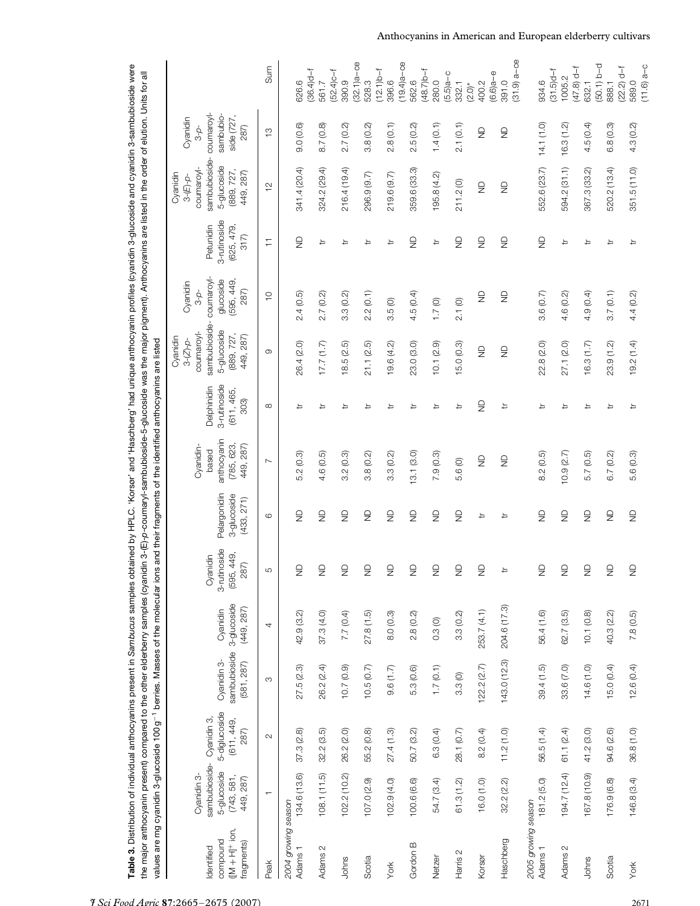|                                                          | values are mg cyanidin 3-glucoside 100 g <sup>-1</sup> berries. Masses of the molecular ions and their fragments of the identified anthocyanins are listed |                                                    |                                           |                                       |                                                |                                           |                                                              |                                                   |                                                                                                       |                                                                  |                                                |                                                                                                          |                                                           |                                             |
|----------------------------------------------------------|------------------------------------------------------------------------------------------------------------------------------------------------------------|----------------------------------------------------|-------------------------------------------|---------------------------------------|------------------------------------------------|-------------------------------------------|--------------------------------------------------------------|---------------------------------------------------|-------------------------------------------------------------------------------------------------------|------------------------------------------------------------------|------------------------------------------------|----------------------------------------------------------------------------------------------------------|-----------------------------------------------------------|---------------------------------------------|
| $(M + H)^+$ ion,<br>compound<br>fragments)<br>Identified | sambubioside-<br>5-glucoside<br>Cyanidin 3-<br>(743, 581,<br>449, 287)                                                                                     | 5-diglucoside<br>Cyanidin 3,<br>(611, 449,<br>287) | sambubioside<br>Cyanidin 3-<br>(581, 287) | 3-glucoside<br>(449, 287)<br>Cyanidin | 3-rutinoside<br>(595, 449,<br>Cyanidin<br>287) | Pelargonidin<br>3-glucoside<br>(433, 271) | anthocyanin<br>(785, 623,<br>449, 287)<br>Cyanidin-<br>based | 3-rutinoside<br>Delphinidin<br>(611, 465,<br>303) | sambubioside-<br>5-glucoside<br>cournaroyl-<br>(889, 727,<br>449, 287)<br>Cyanidin<br>$3 - (2) - p -$ | coumaroyl-<br>(595, 449,<br>glucoside<br>Cyanidin<br>287)<br>d-6 | 3-rutinoside<br>(625, 479,<br>Petunidin<br>317 | sambubioside-coumaroyl-<br>5-glucoside<br>coumaroy-<br>(889, 727,<br>449, 287)<br>Cyanidin<br>$3-(E)-p-$ | sambubio-<br>side (727,<br>Cyanidin<br>287)<br>र्वे<br>ले |                                             |
| Peak                                                     | $\overline{ }$                                                                                                                                             | $\sim$                                             | S                                         | 4                                     | LO.                                            | $\circ$                                   | $\overline{\phantom{a}}$                                     | $\infty$                                          | $\infty$                                                                                              | $\overline{C}$                                                   | Ξ                                              | $\frac{1}{2}$                                                                                            | $\frac{1}{2}$                                             | Sum                                         |
| 2004 growing season<br>Adams <sub>1</sub>                | 134.6 (13.6)                                                                                                                                               | 37.3(2.8)                                          | 27.5(2.3)                                 | 42.9 (3.2)                            | $\sqrt{2}$                                     | $\frac{\Omega}{\Sigma}$                   | 5.2(0.3)                                                     | ⇉                                                 | 26.4 (2.0)                                                                                            | 2.4(0.5)                                                         | $\frac{\Omega}{\Sigma}$                        | 341.4 (20.4)                                                                                             | 9.0(0.6)                                                  | 626.6                                       |
| Adams 2                                                  | 108.1(11.5)                                                                                                                                                | 32.2(3.5)                                          | 26.2 (2.4)                                | 37.3(4.0)                             | $\frac{\Omega}{\Sigma}$                        | $\frac{1}{2}$                             | 4.6 (0.5)                                                    | ≐                                                 | 17.7(1.7)                                                                                             | 2.7(0.2)                                                         | $\pm$                                          | 324.2 (29.4)                                                                                             | 8.7 (0.8)                                                 | $(36.4)$ d-f<br>561.7                       |
| Johns                                                    | 102.2 (10.2)                                                                                                                                               | 26.2 (2.0)                                         | 10.7(0.9)                                 | 7.7(0.4)                              | $\overline{z}$                                 | $\epsilon$                                | 3.2(0.3)                                                     | $\pm$                                             | 18.5(2.5)                                                                                             | 3.3(0.2)                                                         | 누                                              | 216.4 (19.4)                                                                                             | 2.7(0.2)                                                  | $(52.4)c - f$<br>390.9                      |
| Scotia                                                   | $(6.9)$ 0.70                                                                                                                                               | 55.2 (0.8)                                         | 10.5(0.7)                                 | 27.8(1.5)                             | $\sqrt{2}$                                     | $\frac{1}{2}$                             | 3.8(0.2)                                                     | ⇉                                                 | 21.1(2.5)                                                                                             | 2.2(0.1)                                                         | $\pm$                                          | 296.9 (9.7)                                                                                              | 3.8(0.2)                                                  | $(32.1)a - ce$<br>528.3                     |
| York                                                     | 102.9(4.0)                                                                                                                                                 | 27.4(1.3)                                          | 9.6(1.7)                                  | 8.0 (0.3)                             | $\frac{\Omega}{\Sigma}$                        | $\frac{1}{2}$                             | 3.3(0.2)                                                     | ⇉                                                 | 19.6(4.2)                                                                                             | 3.5(0)                                                           | $\pm$                                          | 219.6 (9.7)                                                                                              | 2.8(0.1)                                                  | $(12.1)$ b-f<br>396.6                       |
| Gordon B                                                 | 100.6 (6.6)                                                                                                                                                | 50.7 (3.2)                                         | 5.3 (0.6)                                 | 2.8(0.2)                              | $\frac{\Omega}{\Sigma}$                        | $\frac{\Omega}{\Sigma}$                   | (3.1(3.0)                                                    | ⇉                                                 | 23.0 (3.0)                                                                                            | 4.5 (0.4)                                                        | $\overline{z}$                                 | 359.6 (33.3)                                                                                             | 2.5(0.2)                                                  | $(19.4)a - ce$<br>562.6                     |
| Netzer                                                   | 54.7 (3.4)                                                                                                                                                 | 6.3(0.4)                                           | 1.7(0.1)                                  | 0.3(0)                                | $\sqrt{2}$                                     | $\epsilon$                                | 7.9(0.3)                                                     | ⇉                                                 | 10.1(2.9)                                                                                             | 1.7(0)                                                           | $\pm$                                          | 195.8 (4.2)                                                                                              | 1.4(0.1)                                                  | $(48.7)$ b-f<br>280.0                       |
| Harris 2                                                 | 61.3(1.2)                                                                                                                                                  | 28.1 (0.7)                                         | 3.3(0)                                    | 3.3(0.2)                              | $\frac{\Omega}{\Sigma}$                        | $\epsilon$                                | 5.6(0)                                                       | ⇉                                                 | 15.0(0.3)                                                                                             | $\odot$<br>$\overline{2}$ .                                      | $\frac{\Omega}{\Sigma}$                        | 211.2(0)                                                                                                 | 2.1(0.1)                                                  | $(5.5)a - c$<br>332.1                       |
| Korsør                                                   | 16.0(1.0)                                                                                                                                                  | 8.2(0.4)                                           | 122.2(2.7)                                | 253.7 (4.1)                           | $\infty$                                       | ≠                                         | $\frac{\Omega}{\Sigma}$                                      | $\epsilon$                                        | $\trianglerighteq$                                                                                    | $\infty$                                                         | $\trianglerighteq$                             | $\ominus$                                                                                                | $\ominus$                                                 | 400.2<br>$(2.0)$ *                          |
| Haschberg                                                | 32.2(2.2)                                                                                                                                                  | 11.2(1.0)                                          | 143.0 (12.3)                              | 204.6 (17.3)                          | ≒                                              | ≐                                         | $\trianglerighteq$                                           | 누                                                 | $\trianglerighteq$                                                                                    | $\epsilon$                                                       | $\trianglerighteq$                             | $\ominus$                                                                                                | $\ominus$                                                 | $(31.9) a - ce$<br>Ф<br>$(6.6)a -$<br>391.0 |
| 2005 growing season<br>Adams <sub>1</sub>                | 181.2(5.0)                                                                                                                                                 | 56.5 (1.4)                                         | 39.4(1.5)                                 | 56.4 (1.6)                            | $\frac{1}{2}$                                  | $\epsilon$                                | 8.2(0.5)                                                     | ⇉                                                 | 22.8 (2.0)                                                                                            | 3.6 (0.7)                                                        | $\frac{1}{2}$                                  | 552.6 (23.7)                                                                                             | 14.1(1.0)                                                 | 934.6                                       |
| Adams 2                                                  | 194.7 (12.4)                                                                                                                                               | 61.1(2.4)                                          | 33.6 (7.0)                                | 62.7(3.5)                             | $\sqrt{2}$                                     | $\frac{1}{2}$                             | 10.9(2.7)                                                    | ⇉                                                 | 27.1(2.0)                                                                                             | 4.6 (0.2)                                                        | $\pm$                                          | 594.2 (31.1)                                                                                             | 16.3(1.2)                                                 | $(47.8)$ d-f<br>$(31.5)d - f$<br>1005.2     |
| Johns                                                    | 167.8 (10.9)                                                                                                                                               | 41.2 (3.0)                                         | 14.6(1.0)                                 | 10.1(0.8)                             | $\frac{\Omega}{\Sigma}$                        | $\infty$                                  | 5.7(0.5)                                                     | ⇉                                                 | 16.3(1.7)                                                                                             | 4.9 (0.4)                                                        | 누                                              | 367.3 (33.2)                                                                                             | 4.5(0.4)                                                  | $(50.1)$ b-d<br>632.1                       |
| Scotia                                                   | 176.9(6.8)                                                                                                                                                 | 94.6 (2.6)                                         | 15.0 (0.4)                                | 40.3 (2.2)                            | $\sqrt{2}$                                     | $\mathrel{\mathop{\supseteq}}_Z$          | 6.7(0.2)                                                     | $\pm$                                             | 23.9 (1.2)                                                                                            | 3.7(0.1)                                                         | $\pm$                                          | 520.2 (13.4)                                                                                             | 6.8(0.3)                                                  | $\bar{t}$<br>(22.2)<br>888.1                |
| York                                                     | 146.8 (3.4)                                                                                                                                                | 36.8 (1.0)                                         | 12.6(0.4)                                 | 7.8 (0.5)                             | $\varrho$                                      | $\frac{\Omega}{\Sigma}$                   | 5.6 (0.3)                                                    | 누                                                 | 19.2(1.4)                                                                                             | 4.4 (0.2)                                                        | ⇉                                              | 351.5 (11.0)                                                                                             | 4.3(0.2)                                                  | $(11.6) a - c$<br>589.0                     |
|                                                          |                                                                                                                                                            |                                                    |                                           |                                       |                                                |                                           |                                                              |                                                   |                                                                                                       |                                                                  |                                                |                                                                                                          |                                                           |                                             |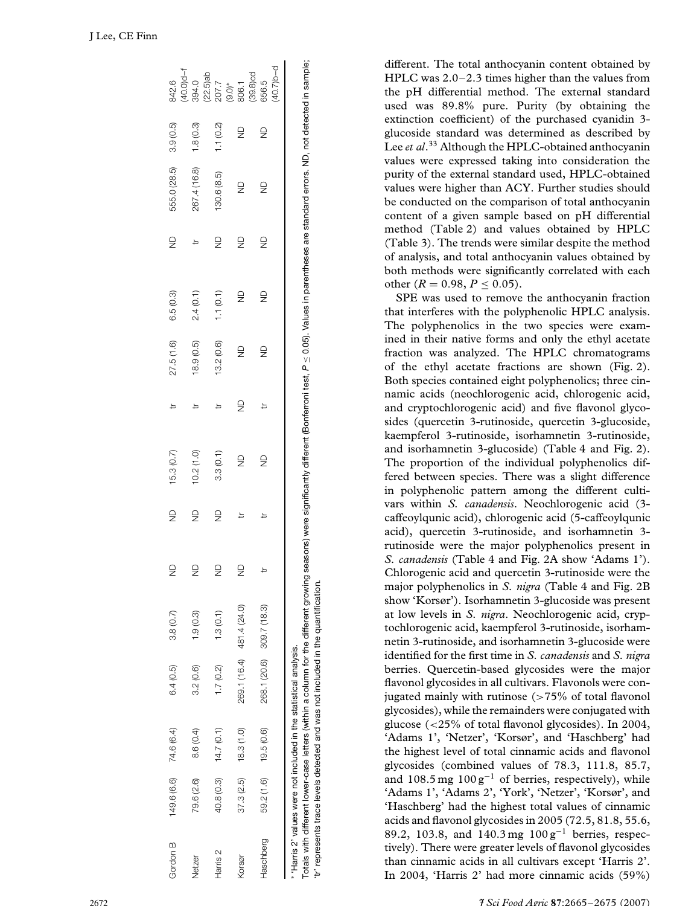| Gordon B      | 149.6 (6.6) | 74.6 (6.4) | 6.4(0.5)                                                        | 3.8(0.7)                                                                            | ₽ | $\supseteq$ | 15.3(0.7)                                                                                                                                 |   | 27.5(1.6) | 6.5(0.3)    | $\supseteq$ | 555.0 (28.5) | 3.9(0.5)    | 842.6                         |
|---------------|-------------|------------|-----------------------------------------------------------------|-------------------------------------------------------------------------------------|---|-------------|-------------------------------------------------------------------------------------------------------------------------------------------|---|-----------|-------------|-------------|--------------|-------------|-------------------------------|
|               |             |            |                                                                 |                                                                                     |   |             |                                                                                                                                           |   |           |             |             |              |             | $+00.004$                     |
| Netzer        | 79.6 (2.6)  | 8.6 (0.4)  | 3.2(0.6)                                                        | 1.9(0.3)                                                                            | ₽ | $\supseteq$ | 10.2(1.0)                                                                                                                                 |   | 18.9(0.5) | 2.4(0.1)    |             | 267.4 (16.8) | 1.8(0.3)    | 394.0                         |
|               |             |            |                                                                 |                                                                                     |   |             |                                                                                                                                           |   |           |             |             |              |             | (22.5)ab                      |
| Harris 2      | 40.8 (0.3)  | 14.7(0.1)  | 1.7(0.2)                                                        | 1.3(0.1)                                                                            | ₽ | $\supseteq$ | 3.3(0.1)                                                                                                                                  |   | 13.2(0.6) | 1.1(0.1)    | $\supseteq$ | 130.6 (8.5)  | 1.1(0.2)    | 207.7                         |
|               |             |            |                                                                 |                                                                                     |   |             |                                                                                                                                           |   |           |             |             |              |             | $(9.0)$ <sup>*</sup><br>806.1 |
| <b>Korsør</b> | 37.3(2.5)   | 18.3(1.0)  |                                                                 | 269.1 (16.4) 481.4 (24.0)                                                           | ₿ |             | $\supseteq$                                                                                                                               | g |           | $\supseteq$ | ₿           | $\supseteq$  | $\supseteq$ |                               |
|               |             |            |                                                                 |                                                                                     |   |             |                                                                                                                                           |   |           |             |             |              |             | $(39.8)$ cd                   |
| Haschberg     | 59.2 (1.6)  | 19.5(0.6)  |                                                                 | 268.1 (20.6) 309.7 (18.3)                                                           |   |             | ₿                                                                                                                                         |   | ₿         | ₿           | $\supseteq$ | $\supseteq$  | $\supseteq$ | 656.5                         |
|               |             |            |                                                                 |                                                                                     |   |             |                                                                                                                                           |   |           |             |             |              |             | 40.7)b-d                      |
|               |             |            | Harris 2' values were not included in the statistical analysis. |                                                                                     |   |             |                                                                                                                                           |   |           |             |             |              |             |                               |
|               |             |            |                                                                 | Totals with different lower-case letters (within a column for the different growing |   |             | seasons) were significantly different (Bonferroni test, P ≤ 0.05). Values in parentheses are standard errors. ND, not detected in sample; |   |           |             |             |              |             |                               |

'tr' represents trace levels detected and was not included in the quantification.

'tr' represents trace levels detected and was not included in the quantification

different. The total anthocyanin content obtained by HPLC was 2.0–2.3 times higher than the values from the pH differential method. The external standard used was 89.8% pure. Purity (by obtaining the extinction coefficient) of the purchased cyanidin 3 glucoside standard was determined as described by Lee *et al*. <sup>33</sup> Although the HPLC-obtained anthocyanin values were expressed taking into consideration the purity of the external standard used, HPLC-obtained values were higher than ACY. Further studies should be conducted on the comparison of total anthocyanin content of a given sample based on pH differential method (Table 2) and values obtained by HPLC (Table 3). The trends were similar despite the method of analysis, and total anthocyanin values obtained by both methods were significantly correlated with each other ( $R = 0.98, P \le 0.05$ ). SPE was used to remove the anthocyanin fraction

that interferes with the polyphenolic HPLC analysis. The polyphenolics in the two species were examined in their native forms and only the ethyl acetate fraction was analyzed. The HPLC chromatograms of the ethyl acetate fractions are shown (Fig. 2). Both species contained eight polyphenolics; three cinnamic acids (neochlorogenic acid, chlorogenic acid, and cryptochlorogenic acid) and five flavonol glycosides (quercetin 3-rutinoside, quercetin 3-glucoside, kaempferol 3-rutinoside, isorhamnetin 3-rutinoside, and isorhamnetin 3-glucoside) (Table 4 and Fig. 2). The proportion of the individual polyphenolics differed between species. There was a slight difference in polyphenolic pattern among the different cultivars within *S. canadensis*. Neochlorogenic acid (3 caffeoylqunic acid), chlorogenic acid (5-caffeoylqunic acid), quercetin 3-rutinoside, and isorhamnetin 3 rutinoside were the major polyphenolics present in *S. canadensis* (Table 4 and Fig. 2A show 'Adams 1'). Chlorogenic acid and quercetin 3-rutinoside were the major polyphenolics in *S. nigra* (Table 4 and Fig. 2B show 'Korsør'). Isorhamnetin 3-glucoside was present at low levels in *S. nigra*. Neochlorogenic acid, cryptochlorogenic acid, kaempferol 3-rutinoside, isorhamnetin 3-rutinoside, and isorhamnetin 3-glucoside were identified for the first time in *S. canadensis* and *S. nigra* berries. Quercetin-based glycosides were the major flavonol glycosides in all cultivars. Flavonols were conjugated mainly with rutinose  $(>75\%$  of total flavonol glycosides), while the remainders were conjugated with glucose (<25% of total flavonol glycosides). In 2004, 'Adams 1', 'Netzer', 'Korsør', and 'Haschberg' had the highest level of total cinnamic acids and flavonol glycosides (combined values of 78.3, 111.8, 85.7, and 108.5 mg  $100 g^{-1}$  of berries, respectively), while 'Adams 1', 'Adams 2', 'York', 'Netzer', 'Korsør', and 'Haschberg' had the highest total values of cinnamic acids and flavonol glycosides in 2005 (72.5, 81.8, 55.6, 89.2, 103.8, and 140.3 mg  $100\,\text{g}^{-1}$  berries, respectively). There were greater levels of flavonol glycosides than cinnamic acids in all cultivars except 'Harris 2'. In 2004, 'Harris 2' had more cinnamic acids (59%)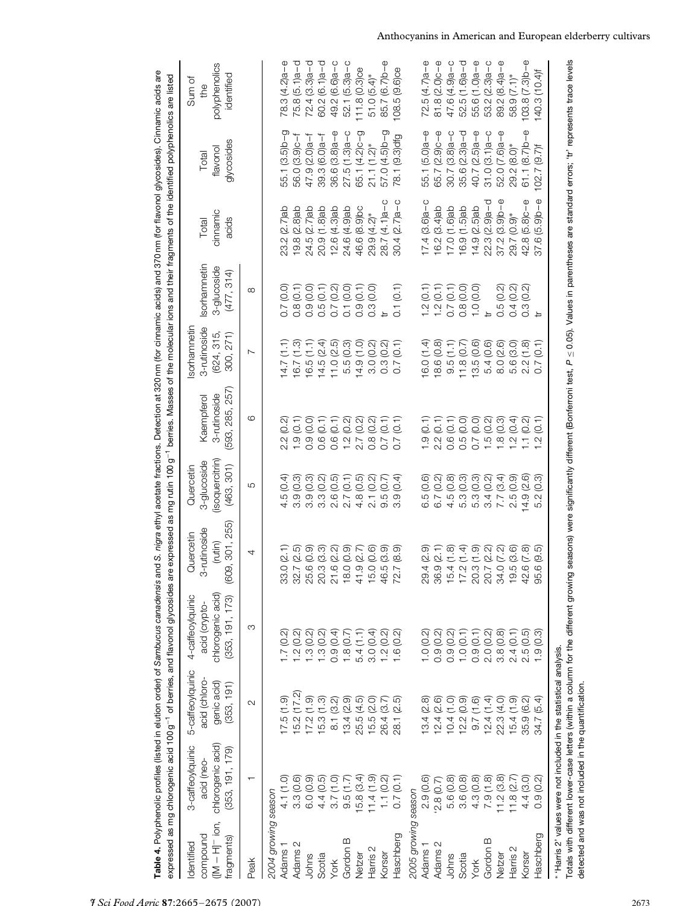|                                                          |                                                                        |                                                                              | Table 4. Polyphenolic profiles (listed in elution order) of Sambucus canadensis and S. nigra ethyl acetate fractions. Detection at 320 nm (for cinnamic acids) and 370 nm (for flavonol glycosides). Cinnamic acids and<br>expressed as mg chlorogenic acid 100 g <sup>-1</sup> of berries, and flavonol glycosides ar |                                                                                                                                                                                                                                                                                                                                                   |                                                                                                                                                     | e expressed as mg rutin 100 g <sup>-1</sup> berries. Masses of the molecular ions and their fragments of the identified polyphenolics are listed |                                                                                                                                                                                                                                                                                                             |                                                                                                                                                                                                                                                                                                                                                                                                                                                                                                                                                                                                                                                     |                                                                                                                                                                                                                                                                                                                                                                                                             |                                              |                                                                  |
|----------------------------------------------------------|------------------------------------------------------------------------|------------------------------------------------------------------------------|------------------------------------------------------------------------------------------------------------------------------------------------------------------------------------------------------------------------------------------------------------------------------------------------------------------------|---------------------------------------------------------------------------------------------------------------------------------------------------------------------------------------------------------------------------------------------------------------------------------------------------------------------------------------------------|-----------------------------------------------------------------------------------------------------------------------------------------------------|--------------------------------------------------------------------------------------------------------------------------------------------------|-------------------------------------------------------------------------------------------------------------------------------------------------------------------------------------------------------------------------------------------------------------------------------------------------------------|-----------------------------------------------------------------------------------------------------------------------------------------------------------------------------------------------------------------------------------------------------------------------------------------------------------------------------------------------------------------------------------------------------------------------------------------------------------------------------------------------------------------------------------------------------------------------------------------------------------------------------------------------------|-------------------------------------------------------------------------------------------------------------------------------------------------------------------------------------------------------------------------------------------------------------------------------------------------------------------------------------------------------------------------------------------------------------|----------------------------------------------|------------------------------------------------------------------|
| $[M - H]^-$ ion,<br>compound<br>fragments)<br>Identified | chlorogenic acid)<br>3-caffeoylquinic<br>(353, 191, 179)<br>acid (neo- | 5-caffeoylquinic<br>acid (chloro-<br>genic acid)<br>(353, 191)               | chlorogenic acid)<br>4-caffeoylquinic<br>(353, 191, 173)<br>acid (crypto-                                                                                                                                                                                                                                              | (609, 301, 255)<br>3-rutinoside<br>Quercetin<br>(rutin)                                                                                                                                                                                                                                                                                           | isoquercitrin)<br>3-glucoside<br>(463, 301)<br>Quercetin                                                                                            | 257)<br>3-rutinoside<br>Kaempferol<br>593, 285,                                                                                                  | sorhamnetin<br>3-rutinoside<br>(624, 315<br>271)<br>300,                                                                                                                                                                                                                                                    | Isorhamnetin<br>3-glucoside<br>(477, 314)                                                                                                                                                                                                                                                                                                                                                                                                                                                                                                                                                                                                           | cinnamic<br>acids<br>Total                                                                                                                                                                                                                                                                                                                                                                                  | glycosides<br>flavonol<br>Total              | polyphenolics<br>identified<br>Sum of<br>the                     |
| Peak                                                     |                                                                        | $\mathbf{\Omega}$                                                            | က                                                                                                                                                                                                                                                                                                                      | 4                                                                                                                                                                                                                                                                                                                                                 | 5                                                                                                                                                   | $\circ$                                                                                                                                          | $\overline{\phantom{0}}$                                                                                                                                                                                                                                                                                    | $\infty$                                                                                                                                                                                                                                                                                                                                                                                                                                                                                                                                                                                                                                            |                                                                                                                                                                                                                                                                                                                                                                                                             |                                              |                                                                  |
| 2004 growing season<br>Adams                             | 4.1 (1.0)                                                              | 7.5                                                                          | ์จ                                                                                                                                                                                                                                                                                                                     | ।<br>२<br>က္တိ                                                                                                                                                                                                                                                                                                                                    | (O.4<br>4.5                                                                                                                                         | ์จ<br>Q<br>Ń                                                                                                                                     | (1.1)<br>14.7 <sub>0</sub>                                                                                                                                                                                                                                                                                  | $\overline{O}$ .                                                                                                                                                                                                                                                                                                                                                                                                                                                                                                                                                                                                                                    | (2.7)ab<br>23.2                                                                                                                                                                                                                                                                                                                                                                                             | $(3.5)$ b-g<br>55.1                          | $(4.2)a - e$<br>က္<br>∣,<br>⊘                                    |
| Adams 2                                                  | 3.3(0.6)                                                               | 15.2(17.2)                                                                   | ଦ୍<br>$\circledcirc$<br>Ņ                                                                                                                                                                                                                                                                                              | $\sim$ $\sim$<br>$\mathcal{S}$                                                                                                                                                                                                                                                                                                                    | (0.3)<br>$3.\overline{9}$                                                                                                                           | $\rm \odot$<br>$\frac{1}{1}$                                                                                                                     |                                                                                                                                                                                                                                                                                                             | 0.8(0.1)                                                                                                                                                                                                                                                                                                                                                                                                                                                                                                                                                                                                                                            | 19.8 (2.8)ab                                                                                                                                                                                                                                                                                                                                                                                                | 56.0 (3.9)c-f                                | $75.8(5.1)a-d$                                                   |
| Johns                                                    | 6.0(0.9)                                                               | (1.9)<br>17.2                                                                | က္                                                                                                                                                                                                                                                                                                                     |                                                                                                                                                                                                                                                                                                                                                   | (0.3)<br>$\overline{O}$<br>က                                                                                                                        | $\circledcirc$<br>$\overline{O}$<br>$\circ$                                                                                                      | $16.7(1.3)$<br>$16.5(1.1)$                                                                                                                                                                                                                                                                                  |                                                                                                                                                                                                                                                                                                                                                                                                                                                                                                                                                                                                                                                     | 24.5 (2.7)ab                                                                                                                                                                                                                                                                                                                                                                                                | $47.9(2.0)a-f$                               | $72.4 (3.3)a - d$                                                |
| Scotia                                                   | 4.4(0.5)                                                               | (1.3)<br>15.3                                                                | $\psi \circ \psi \in \mathfrak{S}$<br>QQ<br>က္                                                                                                                                                                                                                                                                         | $\begin{array}{c}\n 25.6 \\  20.3 \\  21.6 \\  19.0 \\  41.9 \\  15.0 \\  16.0 \\  18.0 \\  19.0 \\  19.0 \\  10.0 \\  15.0 \\  16.0 \\  19.0 \\  19.0 \\  19.0 \\  10.0 \\  10.0 \\  10.0 \\  15.0 \\  10.0 \\  10.0 \\  10.0 \\  10.0 \\  10.0 \\  10.0 \\  10.0 \\  10.0 \\  10.0 \\  10.0 \\  10.0 \\  10.0 \\  10.0 \\  10.0 \\  10.0 \\  1$ | $\begin{array}{c} \mathbf{0} & \mathbf{0} & \mathbf{0} \\ \mathbf{0} & \mathbf{0} & \mathbf{0} \\ \mathbf{0} & \mathbf{0} & \mathbf{0} \end{array}$ | $\begin{array}{c} 0 & 0 & 0 & 0 \\ 0 & 0 & 0 & 0 \\ 0 & 0 & 0 & 0 \end{array}$                                                                   | $\begin{array}{l} 14.5 \; (2.4) \\ 11.0 \; (2.5) \\ 14.0 \; (3.3) \\ 15.0 \; (1.0) \\ 16.0 \; (1.0) \\ 20.0 \; (2.0) \\ 30.0 \; (3.0) \\ 0.3 \; (4.0) \\ 0.3 \; (5.0) \\ 0.3 \; (6.0) \\ 0.3 \; (7.0) \\ 0.3 \; (8.0) \\ 0.3 \; (9.0) \\ 0.3 \; (1.0) \\ 0.3 \; (1.0) \\ 0.3 \; (1.0) \\ 0.3 \; (1.0) \\ 0$ | $\begin{array}{c} 0.9 \ (0.0) \\ 0.5 \ (0.1) \\ 0.7 \ (0.2) \\ 0.1 \ (0.0) \end{array}$                                                                                                                                                                                                                                                                                                                                                                                                                                                                                                                                                             | $(1.8)$ ab<br>20.9                                                                                                                                                                                                                                                                                                                                                                                          | $39.3(6.0)a-1$                               | $60.2 (6.1)a - d$                                                |
| York                                                     | (1.0)<br>3.7                                                           | (3.2)                                                                        | eet<br>$\overline{0}$ .                                                                                                                                                                                                                                                                                                |                                                                                                                                                                                                                                                                                                                                                   |                                                                                                                                                     | <u>èèèèèèè</u>                                                                                                                                   |                                                                                                                                                                                                                                                                                                             |                                                                                                                                                                                                                                                                                                                                                                                                                                                                                                                                                                                                                                                     | $12.6(4.3)$ ab                                                                                                                                                                                                                                                                                                                                                                                              | $36.6(3.8)a - e$                             | 49.2 (6.6)a-c<br>52.1 (5.3)a-c                                   |
| മ<br>Gordon                                              | $9.5(1.7)$<br>15.8 $(3.4)$                                             | $\widehat{\mathcal{O}}$<br>$\overline{\omega}$<br>$13.4$<br>$25.5$<br>$15.5$ | 184                                                                                                                                                                                                                                                                                                                    |                                                                                                                                                                                                                                                                                                                                                   |                                                                                                                                                     |                                                                                                                                                  |                                                                                                                                                                                                                                                                                                             | $-0.0000$                                                                                                                                                                                                                                                                                                                                                                                                                                                                                                                                                                                                                                           | 24.6 (4.9)ab                                                                                                                                                                                                                                                                                                                                                                                                | $27.5(1.3)a-c$<br>65.1 (4.2)c-g              |                                                                  |
| Netzer                                                   |                                                                        | (4.5)                                                                        |                                                                                                                                                                                                                                                                                                                        |                                                                                                                                                                                                                                                                                                                                                   |                                                                                                                                                     |                                                                                                                                                  |                                                                                                                                                                                                                                                                                                             | (0.1)                                                                                                                                                                                                                                                                                                                                                                                                                                                                                                                                                                                                                                               | 46.6 (8.9)bc                                                                                                                                                                                                                                                                                                                                                                                                |                                              | $11.8(0.3)$ ce                                                   |
| Harris 2                                                 | 11.4(1.9)                                                              | $\overline{\omega}$                                                          | ₹<br>3.0                                                                                                                                                                                                                                                                                                               |                                                                                                                                                                                                                                                                                                                                                   | $\overline{2.1}$                                                                                                                                    |                                                                                                                                                  |                                                                                                                                                                                                                                                                                                             | (0.0)                                                                                                                                                                                                                                                                                                                                                                                                                                                                                                                                                                                                                                               | $(4.2)^{*}$<br>29.9                                                                                                                                                                                                                                                                                                                                                                                         | $\bigoplus_{i=1}^{n} \sum_{i=1}^{n}$<br>21.1 | 51.0 (5.4)*                                                      |
| Korsør                                                   | 1.1(0.2)                                                               | ಲ<br>26.4                                                                    | ର୍ ବ<br><u>o o o</u><br>$\frac{2}{1}$                                                                                                                                                                                                                                                                                  | 46.5                                                                                                                                                                                                                                                                                                                                              | 9.5                                                                                                                                                 | 0.7                                                                                                                                              |                                                                                                                                                                                                                                                                                                             | $\pm$                                                                                                                                                                                                                                                                                                                                                                                                                                                                                                                                                                                                                                               | ပ<br>$28.7(4.1)a-$                                                                                                                                                                                                                                                                                                                                                                                          | 57.0 (4.5) b-g                               | $\frac{\theta}{L}$<br>85.7 (6.7)b                                |
| Haschberg                                                | $\widehat{0}$ .<br>0.7                                                 | ဂ<br>$\overline{\mathcal{C}}$<br>28.1                                        | G                                                                                                                                                                                                                                                                                                                      | 72                                                                                                                                                                                                                                                                                                                                                | (0.4)<br>$\circ$<br>ന                                                                                                                               | $\overline{ }$<br>$\circ$                                                                                                                        | (0.1)<br>$\overline{ }$<br>$\circ$                                                                                                                                                                                                                                                                          | (0.1)<br>$\overline{C}$                                                                                                                                                                                                                                                                                                                                                                                                                                                                                                                                                                                                                             | $\frac{0}{1}$<br>.7ja<br>्<br>ज<br>30.4                                                                                                                                                                                                                                                                                                                                                                     | .3) dfg<br>℗<br>78.1                         | $(9.6)$ ce<br>108.5                                              |
| 2005 growing                                             | season                                                                 |                                                                              |                                                                                                                                                                                                                                                                                                                        |                                                                                                                                                                                                                                                                                                                                                   |                                                                                                                                                     |                                                                                                                                                  |                                                                                                                                                                                                                                                                                                             |                                                                                                                                                                                                                                                                                                                                                                                                                                                                                                                                                                                                                                                     |                                                                                                                                                                                                                                                                                                                                                                                                             |                                              |                                                                  |
| Adams <sub>1</sub>                                       | 2.9(0.6)                                                               | $\infty$<br><u>ି</u><br>13.4                                                 | $\circ$<br>$\frac{0}{1}$                                                                                                                                                                                                                                                                                               | ெ<br>o.                                                                                                                                                                                                                                                                                                                                           | $\odot$ . $\odot$<br>ró<br>ဖ                                                                                                                        | $\left(\begin{matrix} 1 \\ 0 \end{matrix}\right)$<br>$\frac{0}{1}$                                                                               | $\overline{1}$<br>16.0 <sub>1</sub>                                                                                                                                                                                                                                                                         | $\overline{0}$ .1)<br>$\frac{1}{1}$                                                                                                                                                                                                                                                                                                                                                                                                                                                                                                                                                                                                                 | $(3.6)a - c$<br>17.4                                                                                                                                                                                                                                                                                                                                                                                        | $(5.0)a - e$<br>55.1                         | $-5(4.7)a - e$                                                   |
| Adams 2                                                  | (2.8) (0.7)                                                            | 12.4(2.6)                                                                    | $\alpha$ $\alpha$ $\alpha$ $\in$ $\in$<br>$\odot$<br>0.9                                                                                                                                                                                                                                                               |                                                                                                                                                                                                                                                                                                                                                   | (0.2)<br>6.7                                                                                                                                        |                                                                                                                                                  | 18.6 (0.8)                                                                                                                                                                                                                                                                                                  | $\begin{array}{c} 1.2(0.1) \\ 0.7(0.1) \\ 0.8(0.0) \\ 1.0(0.0) \\ 1.0(0.0) \end{array}$                                                                                                                                                                                                                                                                                                                                                                                                                                                                                                                                                             | (3.4)ab<br>16.2                                                                                                                                                                                                                                                                                                                                                                                             | 65.7 (2.9) c-e                               | $-9$ (2.0) $c - e$<br>$\overline{5}$                             |
| Johns                                                    |                                                                        | (1.0)<br>10.4                                                                |                                                                                                                                                                                                                                                                                                                        |                                                                                                                                                                                                                                                                                                                                                   |                                                                                                                                                     |                                                                                                                                                  | 9.5(1.1)                                                                                                                                                                                                                                                                                                    |                                                                                                                                                                                                                                                                                                                                                                                                                                                                                                                                                                                                                                                     |                                                                                                                                                                                                                                                                                                                                                                                                             | $30.7(3.8)a - c$                             | 47.6 (4.9) a-c                                                   |
| Scotia                                                   | $\begin{array}{c} 5.6 (0.8) \\ 3.6 (0.8) \\ 4.3 (0.8) \end{array}$     | $\circledcirc$<br>$\circledcirc$<br>12.2                                     |                                                                                                                                                                                                                                                                                                                        |                                                                                                                                                                                                                                                                                                                                                   |                                                                                                                                                     |                                                                                                                                                  | 11.8(0.7)                                                                                                                                                                                                                                                                                                   |                                                                                                                                                                                                                                                                                                                                                                                                                                                                                                                                                                                                                                                     |                                                                                                                                                                                                                                                                                                                                                                                                             | $35.6(2.3)a - d$                             |                                                                  |
| York                                                     |                                                                        | (1.6)<br>$\overline{9.7}$                                                    | $0.900$<br>$0.900$<br>$0.900$                                                                                                                                                                                                                                                                                          | 184622668<br>19462666                                                                                                                                                                                                                                                                                                                             | $\begin{array}{ccccccccc}\n4 & 0 & 0 & 0 & 4 & 1 \\ 0 & 0 & 0 & 4 & 1\n\end{array}$                                                                 | <u> - อ่อยซัย + ย่ -</u><br><u>eseseses</u>                                                                                                      | $\begin{array}{l} 13.5 (0.6) \\ 13.6 (0.6) \\ 5.4 (0.6) \\ 8.0 (2.0) \\ 5.0 (3.0) \\ 2.2 (1.8) \end{array}$                                                                                                                                                                                                 | (0.0)                                                                                                                                                                                                                                                                                                                                                                                                                                                                                                                                                                                                                                               | 17.0 (1.6)ab<br>16.9 (1.5)ab<br>14.9 (2.5)ab<br>22.3 (2.9)a-d                                                                                                                                                                                                                                                                                                                                               | $(2.5)a - e$<br>40.7                         | 52.5 (1.6)а-d<br>55.6 (1.0)а-е<br>53.2 (2.3)а-с<br>89.2 (8.4)а-е |
| ഥ<br>Gordon                                              | 7.9(1.8)                                                               | E<br>t<br>12.4 i                                                             | ন্<br>$\circ$<br>$\begin{smallmatrix}0&\emptyset\ \Omega&\emptyset\end{smallmatrix}$                                                                                                                                                                                                                                   |                                                                                                                                                                                                                                                                                                                                                   |                                                                                                                                                     |                                                                                                                                                  |                                                                                                                                                                                                                                                                                                             | $\pm$                                                                                                                                                                                                                                                                                                                                                                                                                                                                                                                                                                                                                                               | 22.3                                                                                                                                                                                                                                                                                                                                                                                                        | $31.0 (3.1)a - c$                            |                                                                  |
| <b>Netzer</b>                                            | 11.2(3.8)                                                              | 22.3 (4.0)                                                                   |                                                                                                                                                                                                                                                                                                                        |                                                                                                                                                                                                                                                                                                                                                   |                                                                                                                                                     |                                                                                                                                                  |                                                                                                                                                                                                                                                                                                             | 0.5                                                                                                                                                                                                                                                                                                                                                                                                                                                                                                                                                                                                                                                 | Φ<br>$(3.9)b - 6$                                                                                                                                                                                                                                                                                                                                                                                           | 52.0 (7.6)a-e                                |                                                                  |
| Harris 2                                                 | 11.8(2.7)                                                              | $\overline{1}$ .<br>$\overline{9}$<br>15.4                                   | (0.7)<br>$2.5$<br>2.5                                                                                                                                                                                                                                                                                                  |                                                                                                                                                                                                                                                                                                                                                   | (0.9)<br>2.5                                                                                                                                        | $\frac{2}{1}$ $\frac{1}{1}$                                                                                                                      |                                                                                                                                                                                                                                                                                                             | $\begin{array}{c} \textcircled{\scriptsize{2}} \ \textcircled{\scriptsize{3}} \ \textcircled{\scriptsize{4}} \ \textcircled{\scriptsize{5}} \ \textcircled{\scriptsize{6}} \ \textcircled{\scriptsize{7}} \ \textcircled{\scriptsize{8}} \ \textcircled{\scriptsize{9}} \ \textcircled{\scriptsize{9}} \ \textcircled{\scriptsize{1}} \ \textcircled{\scriptsize{1}} \ \textcircled{\scriptsize{1}} \ \textcircled{\scriptsize{1}} \ \textcircled{\scriptsize{1}} \ \textcircled{\scriptsize{1}} \ \textcircled{\scriptsize{1}} \ \textcircled{\scriptsize{2}} \ \textcircled{\scriptsize{3}} \ \textcircled{\scriptsize{4}} \ \textcircled$<br>0.4 | $(0.9)$ *<br>29.7                                                                                                                                                                                                                                                                                                                                                                                           | $(8.0)*$<br>29.2                             | 58.9 $(7.1)^*$                                                   |
| Korsør                                                   | 4.4(3.0)                                                               | Ñ<br>Ö<br>35.9                                                               | ŗÖ.<br>$\circ$                                                                                                                                                                                                                                                                                                         |                                                                                                                                                                                                                                                                                                                                                   | (2.6)<br>14.9                                                                                                                                       |                                                                                                                                                  |                                                                                                                                                                                                                                                                                                             | ন্<br>$\circ$<br>$\overline{0}$                                                                                                                                                                                                                                                                                                                                                                                                                                                                                                                                                                                                                     | Ф<br>$\begin{array}{c} \rule{0pt}{2.5ex} \rule{0pt}{2.5ex} \rule{0pt}{2.5ex} \rule{0pt}{2.5ex} \rule{0pt}{2.5ex} \rule{0pt}{2.5ex} \rule{0pt}{2.5ex} \rule{0pt}{2.5ex} \rule{0pt}{2.5ex} \rule{0pt}{2.5ex} \rule{0pt}{2.5ex} \rule{0pt}{2.5ex} \rule{0pt}{2.5ex} \rule{0pt}{2.5ex} \rule{0pt}{2.5ex} \rule{0pt}{2.5ex} \rule{0pt}{2.5ex} \rule{0pt}{2.5ex} \rule{0pt}{2.5ex} \rule{0$<br>$(5.8)$ C-<br>42.8 | $\theta$<br>61.1 (8.7)b                      | Φ<br>$103.8(7.3)b-$                                              |
| Haschberg                                                | (0.2)<br>0.9                                                           | E<br><b>19</b><br>34.7                                                       | ကြ<br>$\circ$<br>$\frac{0}{1}$                                                                                                                                                                                                                                                                                         | စြ<br>℗                                                                                                                                                                                                                                                                                                                                           | ကြ<br>$\dot{\circ}$<br>$\mathbf{\Omega}$<br>ပ                                                                                                       | $\odot$<br>Ņ                                                                                                                                     | (0.1)<br>$\sim$                                                                                                                                                                                                                                                                                             | $\Rightarrow$                                                                                                                                                                                                                                                                                                                                                                                                                                                                                                                                                                                                                                       | $9$ – $\theta$<br>তি<br><br>$\ddot{\circ}$                                                                                                                                                                                                                                                                                                                                                                  | 1/2<br>$\circledcirc$<br>02.7                | (10.4)<br>40.3                                                   |
|                                                          | * 'Harris 2' values were not included in the statistical analysis.     |                                                                              | Totals with different lower-case letters (within a column for the different growing                                                                                                                                                                                                                                    |                                                                                                                                                                                                                                                                                                                                                   |                                                                                                                                                     | seasons) were significantly different (Bonferroni test, P < 0.05). Values in parentheses are standard errors; 'tr' represents trace levels       |                                                                                                                                                                                                                                                                                                             |                                                                                                                                                                                                                                                                                                                                                                                                                                                                                                                                                                                                                                                     |                                                                                                                                                                                                                                                                                                                                                                                                             |                                              |                                                                  |
|                                                          | detected and was not included in the quantification.                   |                                                                              |                                                                                                                                                                                                                                                                                                                        |                                                                                                                                                                                                                                                                                                                                                   |                                                                                                                                                     |                                                                                                                                                  |                                                                                                                                                                                                                                                                                                             |                                                                                                                                                                                                                                                                                                                                                                                                                                                                                                                                                                                                                                                     |                                                                                                                                                                                                                                                                                                                                                                                                             |                                              |                                                                  |

*J Sci Food Agric* **87**:2665–2675 (2007) 2673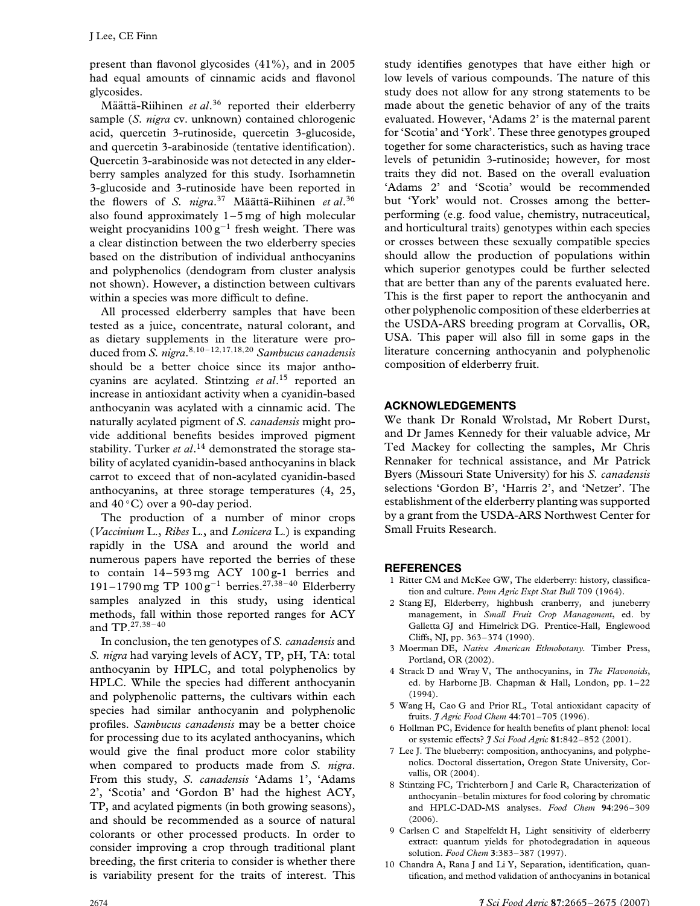present than flavonol glycosides (41%), and in 2005 had equal amounts of cinnamic acids and flavonol glycosides.

Määttä-Riihinen et al.<sup>36</sup> reported their elderberry sample (*S. nigra* cv. unknown) contained chlorogenic acid, quercetin 3-rutinoside, quercetin 3-glucoside, and quercetin 3-arabinoside (tentative identification). Quercetin 3-arabinoside was not detected in any elderberry samples analyzed for this study. Isorhamnetin 3-glucoside and 3-rutinoside have been reported in the flowers of *S. nigra*.<sup>37</sup> Määttä-Riihinen *et al*.<sup>36</sup> also found approximately 1–5 mg of high molecular weight procyanidins  $100 g^{-1}$  fresh weight. There was a clear distinction between the two elderberry species based on the distribution of individual anthocyanins and polyphenolics (dendogram from cluster analysis not shown). However, a distinction between cultivars within a species was more difficult to define.

All processed elderberry samples that have been tested as a juice, concentrate, natural colorant, and as dietary supplements in the literature were produced from *S. nigra*. <sup>8</sup>,10–12,17,18,<sup>20</sup> *Sambucus canadensis* should be a better choice since its major anthocyanins are acylated. Stintzing *et al*. <sup>15</sup> reported an increase in antioxidant activity when a cyanidin-based anthocyanin was acylated with a cinnamic acid. The naturally acylated pigment of *S. canadensis* might provide additional benefits besides improved pigment stability. Turker *et al*. <sup>14</sup> demonstrated the storage stability of acylated cyanidin-based anthocyanins in black carrot to exceed that of non-acylated cyanidin-based anthocyanins, at three storage temperatures (4, 25, and  $40^{\circ}$ C) over a 90-day period.

The production of a number of minor crops (*Vaccinium* L., *Ribes* L., and *Lonicera* L.) is expanding rapidly in the USA and around the world and numerous papers have reported the berries of these to contain 14–593 mg ACY 100 g-1 berries and 191–1790 mg TP 100 g−<sup>1</sup> berries.27,38–40 Elderberry samples analyzed in this study, using identical methods, fall within those reported ranges for ACY and TP. 27,38–40

In conclusion, the ten genotypes of *S. canadensis* and *S. nigra* had varying levels of ACY, TP, pH, TA: total anthocyanin by HPLC, and total polyphenolics by HPLC. While the species had different anthocyanin and polyphenolic patterns, the cultivars within each species had similar anthocyanin and polyphenolic profiles. *Sambucus canadensis* may be a better choice for processing due to its acylated anthocyanins, which would give the final product more color stability when compared to products made from *S. nigra*. From this study, *S. canadensis* 'Adams 1', 'Adams 2', 'Scotia' and 'Gordon B' had the highest ACY, TP, and acylated pigments (in both growing seasons), and should be recommended as a source of natural colorants or other processed products. In order to consider improving a crop through traditional plant breeding, the first criteria to consider is whether there is variability present for the traits of interest. This study identifies genotypes that have either high or low levels of various compounds. The nature of this study does not allow for any strong statements to be made about the genetic behavior of any of the traits evaluated. However, 'Adams 2' is the maternal parent for 'Scotia' and 'York'. These three genotypes grouped together for some characteristics, such as having trace levels of petunidin 3-rutinoside; however, for most traits they did not. Based on the overall evaluation 'Adams 2' and 'Scotia' would be recommended but 'York' would not. Crosses among the betterperforming (e.g. food value, chemistry, nutraceutical, and horticultural traits) genotypes within each species or crosses between these sexually compatible species should allow the production of populations within which superior genotypes could be further selected that are better than any of the parents evaluated here. This is the first paper to report the anthocyanin and other polyphenolic composition of these elderberries at the USDA-ARS breeding program at Corvallis, OR, USA. This paper will also fill in some gaps in the literature concerning anthocyanin and polyphenolic composition of elderberry fruit.

## **ACKNOWLEDGEMENTS**

We thank Dr Ronald Wrolstad, Mr Robert Durst, and Dr James Kennedy for their valuable advice, Mr Ted Mackey for collecting the samples, Mr Chris Rennaker for technical assistance, and Mr Patrick Byers (Missouri State University) for his *S. canadensis* selections 'Gordon B', 'Harris 2', and 'Netzer'. The establishment of the elderberry planting was supported by a grant from the USDA-ARS Northwest Center for Small Fruits Research.

#### **REFERENCES**

- 1 Ritter CM and McKee GW, The elderberry: history, classification and culture. *Penn Agric Expt Stat Bull* 709 (1964).
- 2 Stang EJ, Elderberry, highbush cranberry, and juneberry management, in *Small Fruit Crop Management*, ed. by Galletta GJ and Himelrick DG. Prentice-Hall, Englewood Cliffs, NJ, pp. 363–374 (1990).
- 3 Moerman DE, *Native American Ethnobotany.* Timber Press, Portland, OR (2002).
- 4 Strack D and Wray V, The anthocyanins, in *The Flavonoids*, ed. by Harborne JB. Chapman & Hall, London, pp. 1–22 (1994).
- 5 Wang H, Cao G and Prior RL, Total antioxidant capacity of fruits. *J Agric Food Chem* **44**:701–705 (1996).
- 6 Hollman PC, Evidence for health benefits of plant phenol: local or systemic effects? *J Sci Food Agric* **81**:842–852 (2001).
- 7 Lee J. The blueberry: composition, anthocyanins, and polyphenolics. Doctoral dissertation, Oregon State University, Corvallis, OR (2004).
- 8 Stintzing FC, Trichterborn J and Carle R, Characterization of anthocyanin–betalin mixtures for food coloring by chromatic and HPLC-DAD-MS analyses. *Food Chem* **94**:296–309 (2006).
- 9 Carlsen C and Stapelfeldt H, Light sensitivity of elderberry extract: quantum yields for photodegradation in aqueous solution. *Food Chem* **3**:383–387 (1997).
- 10 Chandra A, Rana J and Li Y, Separation, identification, quantification, and method validation of anthocyanins in botanical